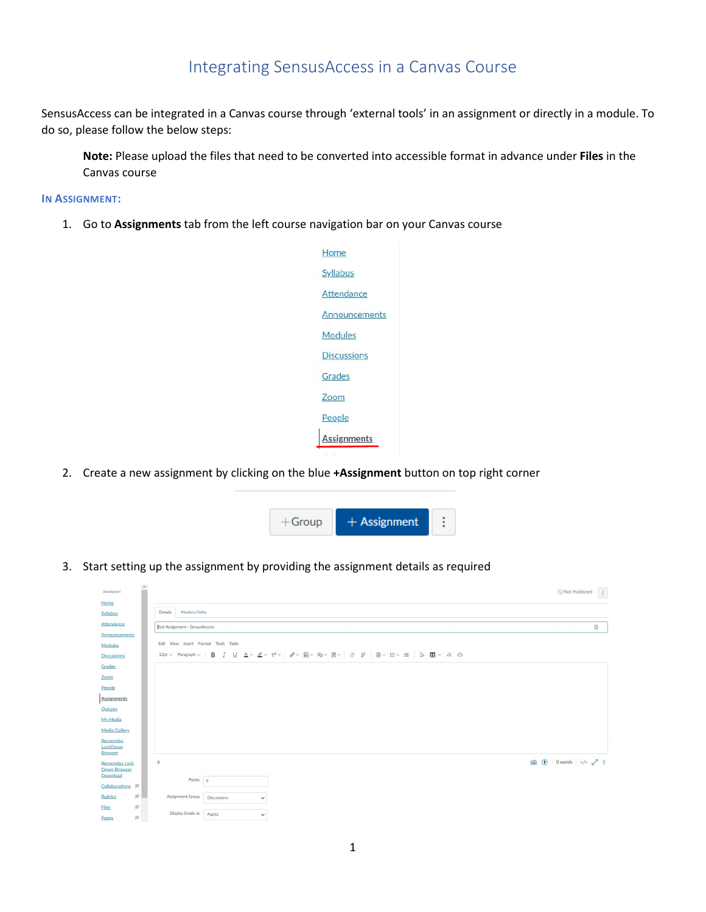## Integrating SensusAccess in a Canvas Course

SensusAccess can be integrated in a Canvas course through 'external tools' in an assignment or directly in a module. To do so, please follow the below steps:

**Note:** Please upload the files that need to be converted into accessible format in advance under **Files** in the Canvas course

## **IN ASSIGNMENT:**

1. Go to **Assignments** tab from the left course navigation bar on your Canvas course



2. Create a new assignment by clicking on the blue **+Assignment** button on top right corner



3. Start setting up the assignment by providing the assignment details as required

| $\mathbb{A}$<br>Development             |                                                                                                                                                                                                                                                                                                                                                                                                                                                                                                                  | $\boxed{1}$<br>Not Published          |
|-----------------------------------------|------------------------------------------------------------------------------------------------------------------------------------------------------------------------------------------------------------------------------------------------------------------------------------------------------------------------------------------------------------------------------------------------------------------------------------------------------------------------------------------------------------------|---------------------------------------|
| Home<br>Syllabus                        | Details<br><b>Mastery Paths</b>                                                                                                                                                                                                                                                                                                                                                                                                                                                                                  |                                       |
| Attendance                              | <b>Test Assignment - SensusAccess</b>                                                                                                                                                                                                                                                                                                                                                                                                                                                                            | $\begin{bmatrix} \hbar \end{bmatrix}$ |
| Announcements<br>Modules                | Edit View Insert Format Tools Table                                                                                                                                                                                                                                                                                                                                                                                                                                                                              |                                       |
| <b>Discussions</b>                      | $\begin{array}{lllllllllllllllllllllllllllllll} \mathbf{B} & I & \sqcup & \Delta \vee & \mathbb{Z} \vee & \mathbb{T}^2 \vee & \mathbb{P}^2 \vee & \boxtimes \vee & \boxtimes \vee & \boxtimes \vee \mathbb{R} \vee & \boxtimes \vee & \boxtimes \vee \mathbb{R} \vee & \boxtimes \vee & \boxtimes \vee \mathbb{R} \vee & \boxtimes \mathbb{R} \end{array} \otimes \mathbb{Z} \otimes \mathbb{Z} \otimes \mathbb{Z} \otimes \mathbb{Z} \otimes \mathbb{Z} \otimes \mathbb{Z} \ot$<br>12pt $\vee$ Paragraph $\vee$ |                                       |
| Grades                                  |                                                                                                                                                                                                                                                                                                                                                                                                                                                                                                                  |                                       |
| Zoom                                    |                                                                                                                                                                                                                                                                                                                                                                                                                                                                                                                  |                                       |
| People                                  |                                                                                                                                                                                                                                                                                                                                                                                                                                                                                                                  |                                       |
| Assignments                             |                                                                                                                                                                                                                                                                                                                                                                                                                                                                                                                  |                                       |
| Quizzes                                 |                                                                                                                                                                                                                                                                                                                                                                                                                                                                                                                  |                                       |
| My Media                                |                                                                                                                                                                                                                                                                                                                                                                                                                                                                                                                  |                                       |
| <b>Media Gallery</b>                    |                                                                                                                                                                                                                                                                                                                                                                                                                                                                                                                  |                                       |
| Respondus<br>LockDown<br><b>Browser</b> |                                                                                                                                                                                                                                                                                                                                                                                                                                                                                                                  |                                       |
| <b>Respondus Lock</b>                   | p                                                                                                                                                                                                                                                                                                                                                                                                                                                                                                                | 面 ① 0words  / i                       |
| Down Browser<br>Download                |                                                                                                                                                                                                                                                                                                                                                                                                                                                                                                                  |                                       |
| Collaborations <sup>®</sup>             | Points 0                                                                                                                                                                                                                                                                                                                                                                                                                                                                                                         |                                       |
| $\emptyset$<br><b>Rubrics</b>           | Assignment Group<br><b>Discussions</b><br>$\checkmark$                                                                                                                                                                                                                                                                                                                                                                                                                                                           |                                       |
| $\emptyset$<br><b>Files</b>             |                                                                                                                                                                                                                                                                                                                                                                                                                                                                                                                  |                                       |
| ø<br>Pages                              | Display Grade as<br>Points<br>$\checkmark$                                                                                                                                                                                                                                                                                                                                                                                                                                                                       |                                       |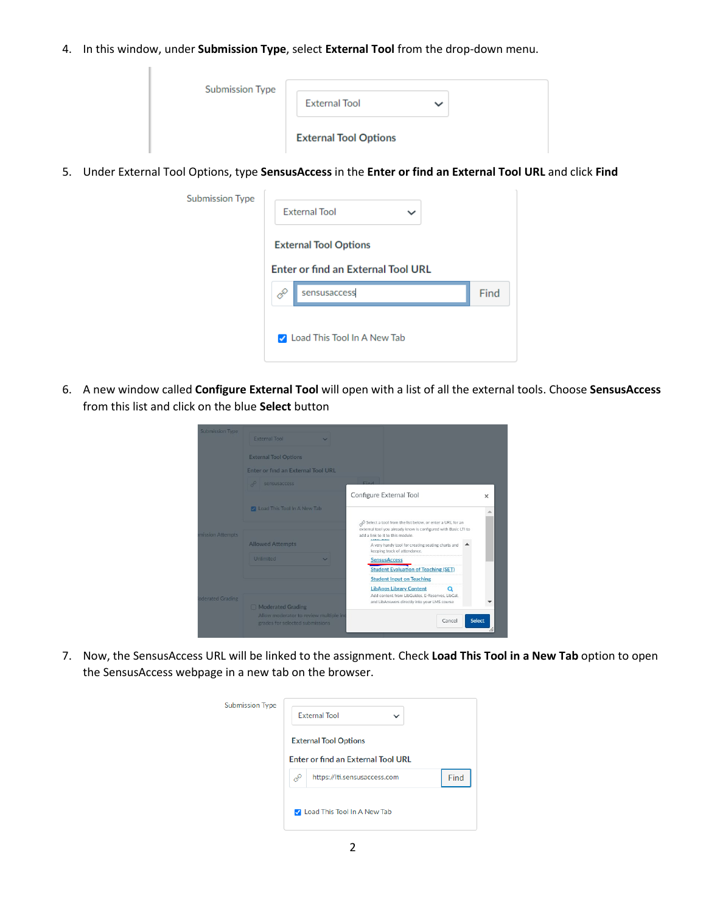4. In this window, under **Submission Type**, select **External Tool** from the drop-down menu.

| <b>Submission Type</b> | <b>External Tool</b>         | $\check{ }$ |  |
|------------------------|------------------------------|-------------|--|
|                        | <b>External Tool Options</b> |             |  |

5. Under External Tool Options, type **SensusAccess** in the **Enter or find an External Tool URL** and click **Find**

| <b>Submission Type</b> |   | <b>External Tool</b>                                                      |      |
|------------------------|---|---------------------------------------------------------------------------|------|
|                        |   | <b>External Tool Options</b><br><b>Enter or find an External Tool URL</b> |      |
|                        |   |                                                                           |      |
|                        | Ê | sensusaccess                                                              | Find |
|                        |   | <b>2</b> Load This Tool In A New Tab                                      |      |

6. A new window called **Configure External Tool** will open with a list of all the external tools. Choose **SensusAccess** from this list and click on the blue **Select** button

| Submission Type  | <b>External Tool</b>                                                      |                                                                                                                                                                                                                                                     |               |
|------------------|---------------------------------------------------------------------------|-----------------------------------------------------------------------------------------------------------------------------------------------------------------------------------------------------------------------------------------------------|---------------|
|                  | <b>External Tool Options</b>                                              |                                                                                                                                                                                                                                                     |               |
|                  | Enter or find an External Tool URL                                        |                                                                                                                                                                                                                                                     |               |
|                  | P.<br>sensusaccess                                                        | Eind                                                                                                                                                                                                                                                |               |
|                  |                                                                           | Configure External Tool                                                                                                                                                                                                                             | $\times$      |
|                  | M Load This Tool In A New Tab                                             |                                                                                                                                                                                                                                                     | Δ             |
| mission Attempts | <b>Allowed Attempts</b>                                                   | Select a tool from the list below, or enter a URL for an<br>external tool you already know is configured with Basic LTI to<br>add a link to it to this module.<br>A very handy tool for creating seating charts and<br>keeping track of attendance. |               |
|                  | <b>Unlimited</b>                                                          | <b>SensusAccess</b>                                                                                                                                                                                                                                 |               |
|                  |                                                                           | <b>Student Evaluation of Teaching (SET)</b>                                                                                                                                                                                                         |               |
|                  |                                                                           | <b>Student Input on Teaching</b>                                                                                                                                                                                                                    |               |
| oderated Grading | Moderated Grading                                                         | <b>LibApps Library Content</b><br>Add content from LibGuides. E-Reserves. LibCal.<br>and LibAnswers directly into your LMS course                                                                                                                   |               |
|                  | Allow moderator to review multiple inc<br>grades for selected submissions | Cancel                                                                                                                                                                                                                                              | <b>Select</b> |

7. Now, the SensusAccess URL will be linked to the assignment. Check **Load This Tool in a New Tab** option to open the SensusAccess webpage in a new tab on the browser.

| <b>Submission Type</b> |   | <b>External Tool</b><br>$\check{ }$                                       |      |
|------------------------|---|---------------------------------------------------------------------------|------|
|                        |   | <b>External Tool Options</b><br><b>Enter or find an External Tool URL</b> |      |
|                        | P | https://lti.sensusaccess.com                                              | Find |
|                        |   | C Load This Tool In A New Tab                                             |      |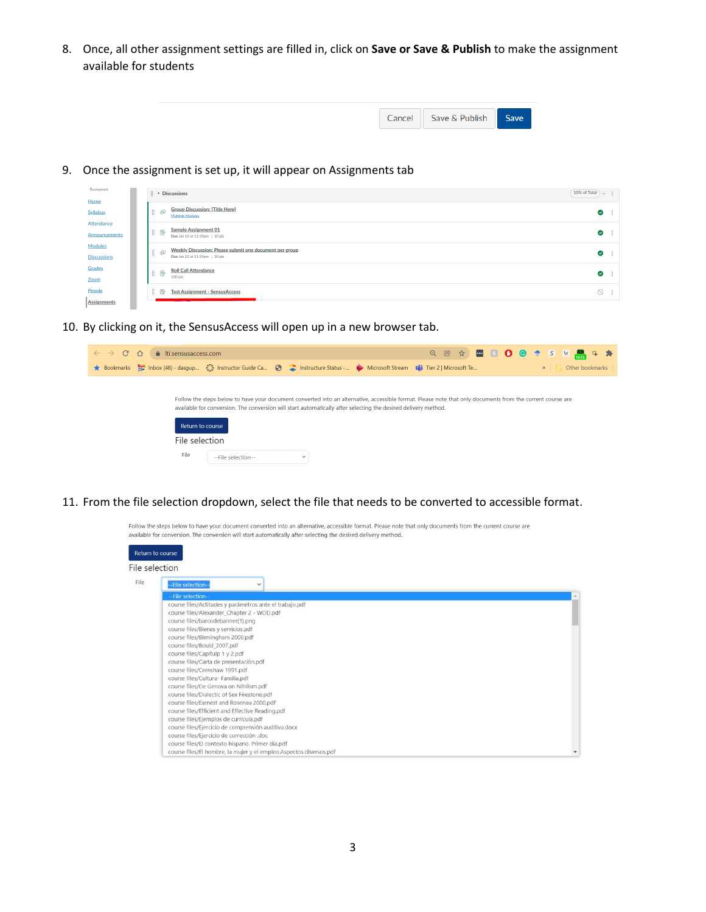8. Once, all other assignment settings are filled in, click on **Save or Save & Publish** to make the assignment available for students

| Save | Cancel Save & Publish |  |
|------|-----------------------|--|

9. Once the assignment is set up, it will appear on Assignments tab

| Development<br>Home           | $\frac{11}{2}$ $\bullet$ Discussions                                                             | 10% of Total<br>$+ +$ |
|-------------------------------|--------------------------------------------------------------------------------------------------|-----------------------|
| Syllabus                      | <b>Group Discussion: [Title Here]</b><br>非家<br>Multiple Modules                                  | ◙                     |
| Attendance<br>Announcements   | <b>Sample Assignment 01</b><br><b>I</b> P<br>Due Jan 13 at 11:59pm   10 pts                      | ◉                     |
| Modules<br><b>Discussions</b> | <b>Weekly Discussion: Please submit one document per group</b><br>Due Jan 22 at 11:59pm   10 pts | $\bullet$<br>- 1      |
| Grades<br>Zoom                | <b>Roll Call Attendance</b><br>E<br>100 pts                                                      | $\bullet$             |
| People<br>Assignments         | B.<br><b>Test Assignment - SensusAccess</b><br>$\mathbb{E}_{\mathcal{C}}$                        | - 1<br>∾              |

10. By clicking on it, the SensusAccess will open up in a new browser tab.

| fillisensusaccess.com<br>$\mathcal{C}$<br>$\bigcap$                                                                                                                                                                                                                          | Q @ ☆   ■ B O G ↑ S W   B + *    |
|------------------------------------------------------------------------------------------------------------------------------------------------------------------------------------------------------------------------------------------------------------------------------|----------------------------------|
| Bookmarks <sub>201</sub> Inbox (48) - dasgup (2) Instructor Guide Ca (3) Chatructure Status - (2) Microsoft Stream <b>En</b> Tier 2   Microsoft Te                                                                                                                           | Other bookmarks<br>$\mathcal{D}$ |
|                                                                                                                                                                                                                                                                              |                                  |
| Follow the steps below to have your document converted into an alternative, accessible format. Please note that only documents from the current course are<br>available for conversion. The conversion will start automatically after selecting the desired delivery method. |                                  |
| Return to course                                                                                                                                                                                                                                                             |                                  |
| File selection                                                                                                                                                                                                                                                               |                                  |
| File<br>--File selection--<br>$\check{~}$                                                                                                                                                                                                                                    |                                  |
|                                                                                                                                                                                                                                                                              |                                  |

11. From the file selection dropdown, select the file that needs to be converted to accessible format.

Follow the steps below to have your document converted into an alternative, accessible format. Please note that only documents from the current course are available for conversion. The conversion will start automatically after selecting the desired delivery method.

|                | Return to course                                                                                                                                                                                                                                                                                                                                                                                                                                                                                                                                                                                                                                                                                                                                                                                                           |  |
|----------------|----------------------------------------------------------------------------------------------------------------------------------------------------------------------------------------------------------------------------------------------------------------------------------------------------------------------------------------------------------------------------------------------------------------------------------------------------------------------------------------------------------------------------------------------------------------------------------------------------------------------------------------------------------------------------------------------------------------------------------------------------------------------------------------------------------------------------|--|
| File selection |                                                                                                                                                                                                                                                                                                                                                                                                                                                                                                                                                                                                                                                                                                                                                                                                                            |  |
| File           | -File selection--<br>$\checkmark$                                                                                                                                                                                                                                                                                                                                                                                                                                                                                                                                                                                                                                                                                                                                                                                          |  |
|                | --File selection--<br>course files/Actitudes y parámetros ante el trabajo.pdf<br>course files/Alexander_Chapter 2 - WOD.pdf<br>course files/barcodebanner(1).png<br>course files/Bienes y servicios.pdf<br>course files/Birmingham 2000.pdf<br>course files/Bould 2007.pdf<br>course files/Capítulp 1 y 2.pdf<br>course files/Carta de presentación.pdf<br>course files/Crenshaw 1991.pdf<br>course files/Cultura- Familia.pdf<br>course files/De Genova on Nihilism.pdf<br>course files/Dialectic of Sex Firestone.pdf<br>course files/Earnest and Rosenau 2000.pdf<br>course files/Efficient and Effective Reading.pdf<br>course files/Ejemplos de curricula.pdf<br>course files/Ejercicio de comprensión auditiva.docx<br>course files/Ejercicio de corrección .doc<br>course files/El contexto hispano. Primer día.pdf |  |
|                | course files/El hombre, la mujer y el empleo.Aspectos diversos.pdf                                                                                                                                                                                                                                                                                                                                                                                                                                                                                                                                                                                                                                                                                                                                                         |  |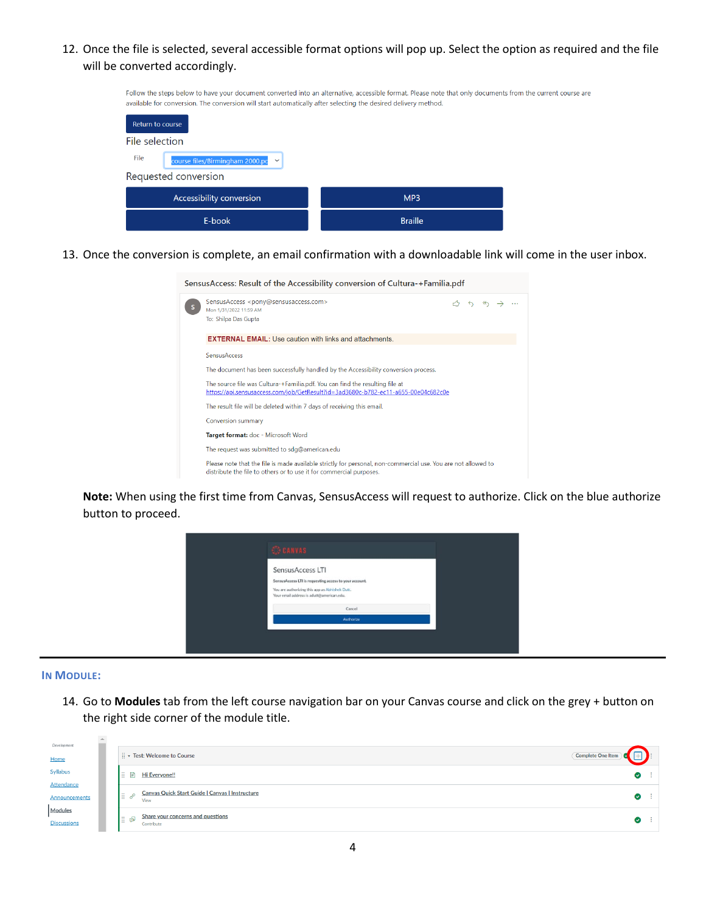12. Once the file is selected, several accessible format options will pop up. Select the option as required and the file will be converted accordingly.

| Follow the steps below to have your document converted into an alternative, accessible format. Please note that only documents from the current course are<br>available for conversion. The conversion will start automatically after selecting the desired delivery method. |                 |  |  |  |  |  |
|------------------------------------------------------------------------------------------------------------------------------------------------------------------------------------------------------------------------------------------------------------------------------|-----------------|--|--|--|--|--|
| Return to course                                                                                                                                                                                                                                                             |                 |  |  |  |  |  |
| File selection                                                                                                                                                                                                                                                               |                 |  |  |  |  |  |
| File<br>course files/Birmingham 2000.pc $\sim$                                                                                                                                                                                                                               |                 |  |  |  |  |  |
| Requested conversion                                                                                                                                                                                                                                                         |                 |  |  |  |  |  |
| Accessibility conversion                                                                                                                                                                                                                                                     | MP <sub>3</sub> |  |  |  |  |  |
| E-book                                                                                                                                                                                                                                                                       | <b>Braille</b>  |  |  |  |  |  |

13. Once the conversion is complete, an email confirmation with a downloadable link will come in the user inbox.

|                                                                                                                                                                    | Sensus Access: Result of the Accessibility conversion of Cultura-+Familia.pdf                                                                                                        |  |  |                   |  |  |  |  |
|--------------------------------------------------------------------------------------------------------------------------------------------------------------------|--------------------------------------------------------------------------------------------------------------------------------------------------------------------------------------|--|--|-------------------|--|--|--|--|
|                                                                                                                                                                    | SensusAccess <pony@sensusaccess.com><br/>Mon 1/31/2022 11:59 AM<br/>To: Shilpa Das Gupta</pony@sensusaccess.com>                                                                     |  |  | $A \rightarrow A$ |  |  |  |  |
|                                                                                                                                                                    | <b>EXTERNAL EMAIL:</b> Use caution with links and attachments.                                                                                                                       |  |  |                   |  |  |  |  |
|                                                                                                                                                                    | <b>SensusAccess</b>                                                                                                                                                                  |  |  |                   |  |  |  |  |
|                                                                                                                                                                    | The document has been successfully handled by the Accessibility conversion process.                                                                                                  |  |  |                   |  |  |  |  |
| The source file was Cultura-+Familia.pdf. You can find the resulting file at<br>https://api.sensusaccess.com/job/GetResult?id=3ad3680c-b782-ec11-a655-00e04c682c0e |                                                                                                                                                                                      |  |  |                   |  |  |  |  |
| The result file will be deleted within 7 days of receiving this email.                                                                                             |                                                                                                                                                                                      |  |  |                   |  |  |  |  |
|                                                                                                                                                                    | <b>Conversion summary</b>                                                                                                                                                            |  |  |                   |  |  |  |  |
| Target format: doc - Microsoft Word                                                                                                                                |                                                                                                                                                                                      |  |  |                   |  |  |  |  |
|                                                                                                                                                                    | The request was submitted to sdg@american.edu                                                                                                                                        |  |  |                   |  |  |  |  |
|                                                                                                                                                                    | Please note that the file is made available strictly for personal, non-commercial use. You are not allowed to<br>distribute the file to others or to use it for commercial purposes. |  |  |                   |  |  |  |  |

**Note:** When using the first time from Canvas, SensusAccess will request to authorize. Click on the blue authorize button to proceed.



## **IN MODULE:**

 $\mathbb{R}^2$ 

14. Go to **Modules** tab from the left course navigation bar on your Canvas course and click on the grey + button on the right side corner of the module title.

| Development        |                |                                                                |                   |           |      |
|--------------------|----------------|----------------------------------------------------------------|-------------------|-----------|------|
| Home               |                | Fig. v Test: Welcome to Course                                 | Complete One Item |           |      |
| Syllabus           |                | ■ ■ Hi Everyone!!                                              |                   | ◙         | - 11 |
| Attendance         |                |                                                                |                   |           |      |
| Announcements      | $\mathbb{R}^n$ | <b>Canvas Quick Start Guide   Canvas   Instructure</b><br>View |                   | ☑         | - 11 |
| Modules            | ‼ क्र          | <b>Share your concerns and questions</b>                       |                   |           | - 11 |
| <b>Discussions</b> |                | Contribute                                                     |                   | $\bullet$ |      |